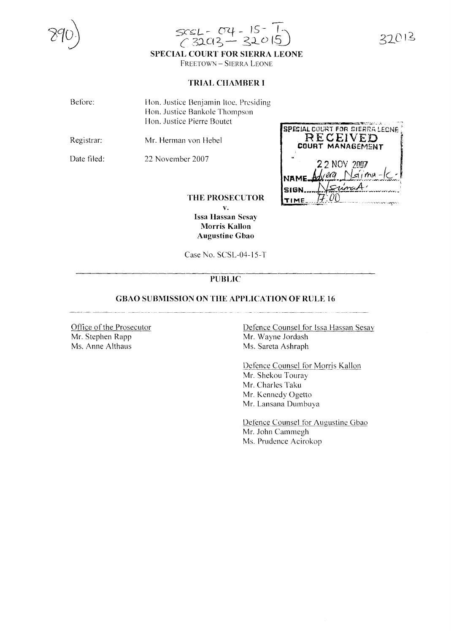

27013

# **SPECIAL COURT FOR SIERRA LEONE**

FREETOWN - SIERRA LEONE

### **TRIAL CHAMBER I**

| Before: | Hon. Justice Benjamin Itoe, Presiding |
|---------|---------------------------------------|
|         | Hon. Justice Bankole Thompson         |
|         | Hon. Justice Pierre Boutet            |

Registrar: Mr. Herman von Hebel

Date filed:

22 November 2007

**SPECIAL COURT FOR SIERRA LEONE** RECEIVED COURT MANAGEMENT 2 2 NOV 2007 . aa Nsiina SIGN TIME

#### **THE PROSECUTOR**

**v. Issa Hassan Sesay Morris Kallon Augustine Gbao**

Case No. SCSL-04-15-T

# **PlJBLIC**

### **GBAO SUBMISSION ON TIlE APPLICATION OF RlJLE 16**

Office of the Prosecutor Mr. Stephen Rapp Ms. Anne Althaus

Defence Counsel for Issa Hassan Sesay Mr. Wayne Jordash Ms. Sareta Ashraph

Defence Counsel for Morris Kallon Mr. Shekou Touray Mr. Charles Taku Mr. Kennedy Ogetto Mr. Lansana Dumbuya

Defence Counsel for Augustine Gbao Mr. John Cammegh Ms. Prudence Acirokop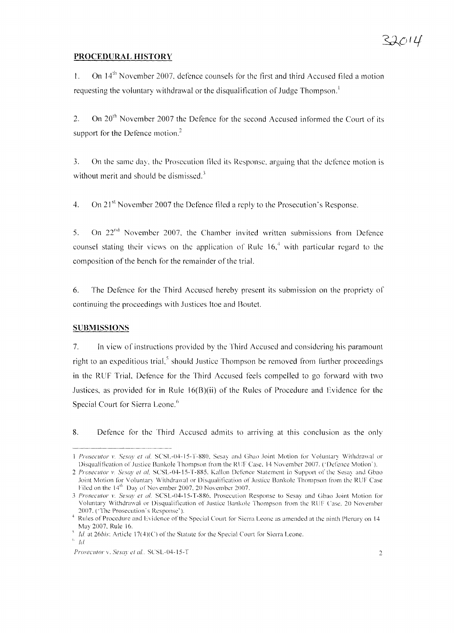# **PROCEDURAL HISTORY**

l. On 14th November 2007, defence counsels for the first and third Accused filed a motion requesting the voluntary withdrawal or the disqualification of Judge Thompson.<sup>1</sup>

2. On  $20<sup>th</sup>$  November 2007 the Defence for the second Accused informed the Court of its support for the Defence motion.<sup>2</sup>

3. On the same day, the Prosecution filed its Response, arguing that the defence motion is without merit and should be dismissed.<sup>3</sup>

4. On 21<sup>st</sup> November 2007 the Defence filed a reply to the Prosecution's Response.

5. On  $22<sup>nd</sup>$  November 2007, the Chamber invited written submissions from Defence counsel stating their views on the application of Rule  $16<sup>4</sup>$  with particular regard to the composition of the bench for the remainder of the trial.

6. The Defence for the Third Accused hereby present its submission on the propriety of continuing the proceedings with Justices Itoe and Boutet.

## **SUBMISSIONS**

7. In view of instructions provided by the Third Accused and considering his paramount right to an expeditious trial,<sup>5</sup> should Justice Thompson be removed from further proceedings in the RUF Trial, Defence for the Third Accused feels compelled to go forward with two Justices, as provided for in Rule 16(B)(ii) of the Rules of Procedure and Evidence for the Special Court for Sierra Leone.<sup>6</sup>

8. Defence for the Third Accused admits to arriving at this conclusion as the only

<sup>1</sup> *Proseculor* 1', *Sesa)' el aI,* SCSL-04-15-T-XXO, Sesay and Clhao .Ioint Motion for Voluntary Withdrawal or Disqualification of .Iustice Bankole Thompson from the RUF Case, 14 November 2007. ('Defence Motion').

<sup>2</sup> *Prosecutor v. Sesay et al, SCSL-04-15-T-885*. Kallon Defence Statement in Support of the Sesay and Gbao .Ioint Motion for Voluntary Withdrawal or Disqualilieation of .Iustice Bankole Thompson from the RUF Case Filed on the  $14<sup>th</sup>$  Day of November 2007, 20 November 2007.

<sup>3</sup> *Prosecutor v. Sesay et al.* SCSL-04-15-T-886, Prosecution Response to Sesay and Gbao Joint Motion for Voluntary Withdrawal or Disqualification of Justice Bankole Thompson from the RUF Case, 20 November 2007. ('The Prosecution's Response').

<sup>&</sup>lt;sup>4</sup> Rules of Procedure and Evidence of the Special Court for Sierra Leone as amended at the ninth Plenary on 14 May 2007, Rule 16.

*Id.* at  $26\text{bis}$ : Article  $17(4)(C)$  of the Statute for the Special Court for Sierra Leone,

*<sup>&</sup>quot; lei*